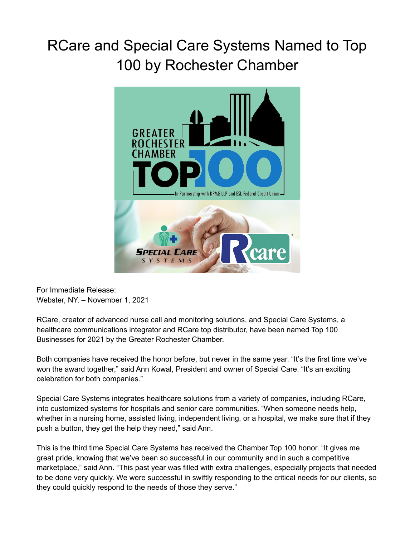## RCare and Special Care Systems Named to Top 100 by Rochester Chamber



For Immediate Release: Webster, NY. – November 1, 2021

RCare, creator of advanced nurse call and monitoring solutions, and Special Care Systems, a healthcare communications integrator and RCare top distributor, have been named Top 100 Businesses for 2021 by the Greater Rochester Chamber.

Both companies have received the honor before, but never in the same year. "It's the first time we've won the award together," said Ann Kowal, President and owner of Special Care. "It's an exciting celebration for both companies."

Special Care Systems integrates healthcare solutions from a variety of companies, including RCare, into customized systems for hospitals and senior care communities. "When someone needs help, whether in a nursing home, assisted living, independent living, or a hospital, we make sure that if they push a button, they get the help they need," said Ann.

This is the third time Special Care Systems has received the Chamber Top 100 honor. "It gives me great pride, knowing that we've been so successful in our community and in such a competitive marketplace," said Ann. "This past year was filled with extra challenges, especially projects that needed to be done very quickly. We were successful in swiftly responding to the critical needs for our clients, so they could quickly respond to the needs of those they serve."